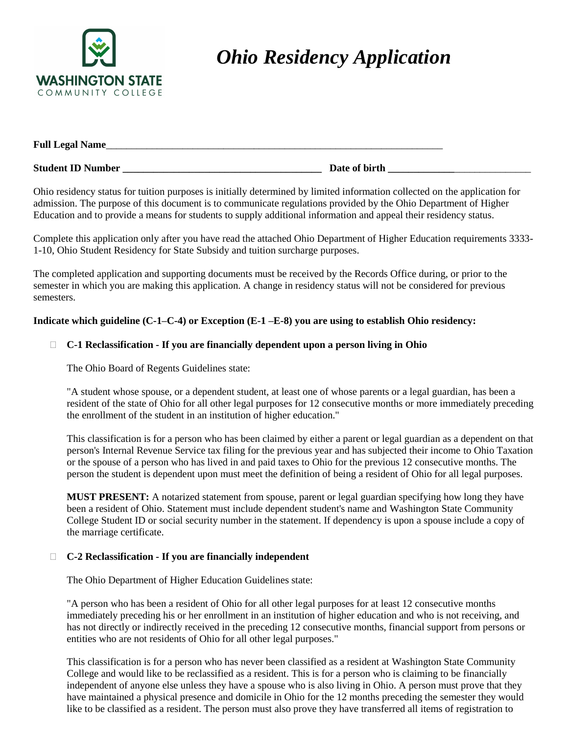

# *Ohio Residency Application*

| <b>Full Legal Name_</b>  |               |  |
|--------------------------|---------------|--|
| <b>Student ID Number</b> | Date of birth |  |

Ohio residency status for tuition purposes is initially determined by limited information collected on the application for admission. The purpose of this document is to communicate regulations provided by the Ohio Department of Higher Education and to provide a means for students to supply additional information and appeal their residency status.

Complete this application only after you have read the attached Ohio Department of Higher Education requirements 3333- 1-10, Ohio Student Residency for State Subsidy and tuition surcharge purposes.

The completed application and supporting documents must be received by the Records Office during, or prior to the semester in which you are making this application. A change in residency status will not be considered for previous semesters.

## **Indicate which guideline (C-1–C-4) or Exception (E-1 –E-8) you are using to establish Ohio residency:**

#### **C-1 Reclassification - If you are financially dependent upon a person living in Ohio**

The Ohio Board of Regents Guidelines state:

"A student whose spouse, or a dependent student, at least one of whose parents or a legal guardian, has been a resident of the state of Ohio for all other legal purposes for 12 consecutive months or more immediately preceding the enrollment of the student in an institution of higher education."

This classification is for a person who has been claimed by either a parent or legal guardian as a dependent on that person's Internal Revenue Service tax filing for the previous year and has subjected their income to Ohio Taxation or the spouse of a person who has lived in and paid taxes to Ohio for the previous 12 consecutive months. The person the student is dependent upon must meet the definition of being a resident of Ohio for all legal purposes.

**MUST PRESENT:** A notarized statement from spouse, parent or legal guardian specifying how long they have been a resident of Ohio. Statement must include dependent student's name and Washington State Community College Student ID or social security number in the statement. If dependency is upon a spouse include a copy of the marriage certificate.

#### **C-2 Reclassification - If you are financially independent**

The Ohio Department of Higher Education Guidelines state:

"A person who has been a resident of Ohio for all other legal purposes for at least 12 consecutive months immediately preceding his or her enrollment in an institution of higher education and who is not receiving, and has not directly or indirectly received in the preceding 12 consecutive months, financial support from persons or entities who are not residents of Ohio for all other legal purposes."

This classification is for a person who has never been classified as a resident at Washington State Community College and would like to be reclassified as a resident. This is for a person who is claiming to be financially independent of anyone else unless they have a spouse who is also living in Ohio. A person must prove that they have maintained a physical presence and domicile in Ohio for the 12 months preceding the semester they would like to be classified as a resident. The person must also prove they have transferred all items of registration to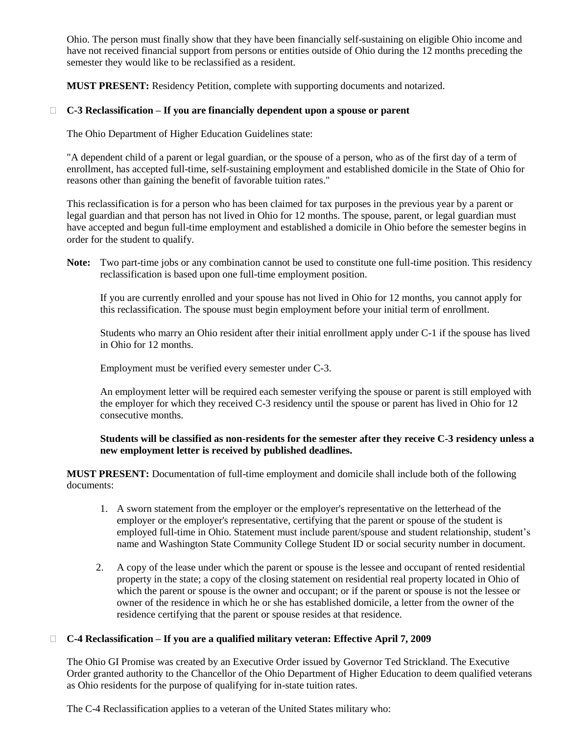Ohio. The person must finally show that they have been financially self-sustaining on eligible Ohio income and have not received financial support from persons or entities outside of Ohio during the 12 months preceding the semester they would like to be reclassified as a resident.

**MUST PRESENT:** Residency Petition, complete with supporting documents and notarized.

# **C-3 Reclassification – If you are financially dependent upon a spouse or parent**

The Ohio Department of Higher Education Guidelines state:

"A dependent child of a parent or legal guardian, or the spouse of a person, who as of the first day of a term of enrollment, has accepted full-time, self-sustaining employment and established domicile in the State of Ohio for reasons other than gaining the benefit of favorable tuition rates."

This reclassification is for a person who has been claimed for tax purposes in the previous year by a parent or legal guardian and that person has not lived in Ohio for 12 months. The spouse, parent, or legal guardian must have accepted and begun full-time employment and established a domicile in Ohio before the semester begins in order for the student to qualify.

**Note:** Two part-time jobs or any combination cannot be used to constitute one full-time position. This residency reclassification is based upon one full-time employment position.

If you are currently enrolled and your spouse has not lived in Ohio for 12 months, you cannot apply for this reclassification. The spouse must begin employment before your initial term of enrollment.

Students who marry an Ohio resident after their initial enrollment apply under C-1 if the spouse has lived in Ohio for 12 months.

Employment must be verified every semester under C-3.

An employment letter will be required each semester verifying the spouse or parent is still employed with the employer for which they received C-3 residency until the spouse or parent has lived in Ohio for 12 consecutive months.

# **Students will be classified as non-residents for the semester after they receive C-3 residency unless a new employment letter is received by published deadlines.**

**MUST PRESENT:** Documentation of full-time employment and domicile shall include both of the following documents:

- 1. A sworn statement from the employer or the employer's representative on the letterhead of the employer or the employer's representative, certifying that the parent or spouse of the student is employed full-time in Ohio. Statement must include parent/spouse and student relationship, student's name and Washington State Community College Student ID or social security number in document.
- 2. A copy of the lease under which the parent or spouse is the lessee and occupant of rented residential property in the state; a copy of the closing statement on residential real property located in Ohio of which the parent or spouse is the owner and occupant; or if the parent or spouse is not the lessee or owner of the residence in which he or she has established domicile, a letter from the owner of the residence certifying that the parent or spouse resides at that residence.

# **C-4 Reclassification – If you are a qualified military veteran: Effective April 7, 2009**

The Ohio GI Promise was created by an Executive Order issued by Governor Ted Strickland. The Executive Order granted authority to the Chancellor of the Ohio Department of Higher Education to deem qualified veterans as Ohio residents for the purpose of qualifying for in-state tuition rates.

The C-4 Reclassification applies to a veteran of the United States military who: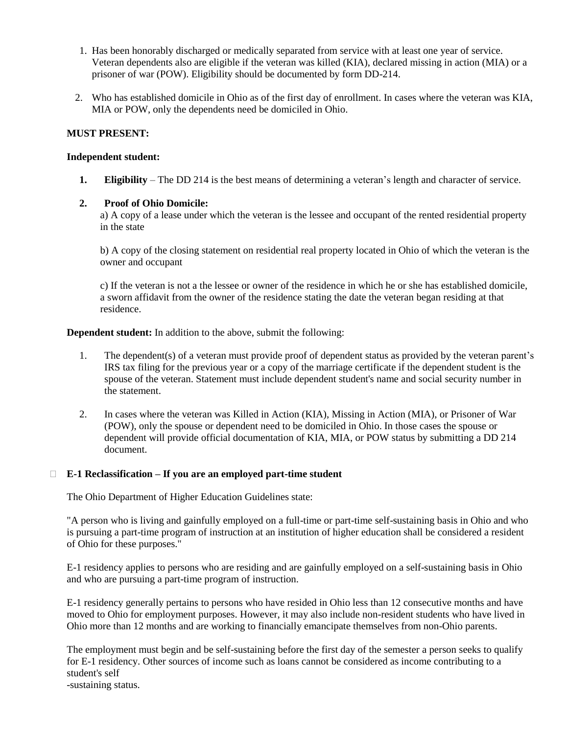- 1. Has been honorably discharged or medically separated from service with at least one year of service. Veteran dependents also are eligible if the veteran was killed (KIA), declared missing in action (MIA) or a prisoner of war (POW). Eligibility should be documented by form DD-214.
- 2. Who has established domicile in Ohio as of the first day of enrollment. In cases where the veteran was KIA, MIA or POW, only the dependents need be domiciled in Ohio.

#### **MUST PRESENT:**

#### **Independent student:**

**1. Eligibility** – The DD 214 is the best means of determining a veteran's length and character of service.

#### **2. Proof of Ohio Domicile:**

a) A copy of a lease under which the veteran is the lessee and occupant of the rented residential property in the state

b) A copy of the closing statement on residential real property located in Ohio of which the veteran is the owner and occupant

c) If the veteran is not a the lessee or owner of the residence in which he or she has established domicile, a sworn affidavit from the owner of the residence stating the date the veteran began residing at that residence.

**Dependent student:** In addition to the above, submit the following:

- 1. The dependent(s) of a veteran must provide proof of dependent status as provided by the veteran parent's IRS tax filing for the previous year or a copy of the marriage certificate if the dependent student is the spouse of the veteran. Statement must include dependent student's name and social security number in the statement.
- 2. In cases where the veteran was Killed in Action (KIA), Missing in Action (MIA), or Prisoner of War (POW), only the spouse or dependent need to be domiciled in Ohio. In those cases the spouse or dependent will provide official documentation of KIA, MIA, or POW status by submitting a DD 214 document.

#### **E-1 Reclassification – If you are an employed part-time student**

The Ohio Department of Higher Education Guidelines state:

"A person who is living and gainfully employed on a full-time or part-time self-sustaining basis in Ohio and who is pursuing a part-time program of instruction at an institution of higher education shall be considered a resident of Ohio for these purposes."

E-1 residency applies to persons who are residing and are gainfully employed on a self-sustaining basis in Ohio and who are pursuing a part-time program of instruction.

E-1 residency generally pertains to persons who have resided in Ohio less than 12 consecutive months and have moved to Ohio for employment purposes. However, it may also include non-resident students who have lived in Ohio more than 12 months and are working to financially emancipate themselves from non-Ohio parents.

The employment must begin and be self-sustaining before the first day of the semester a person seeks to qualify for E-1 residency. Other sources of income such as loans cannot be considered as income contributing to a student's self

-sustaining status.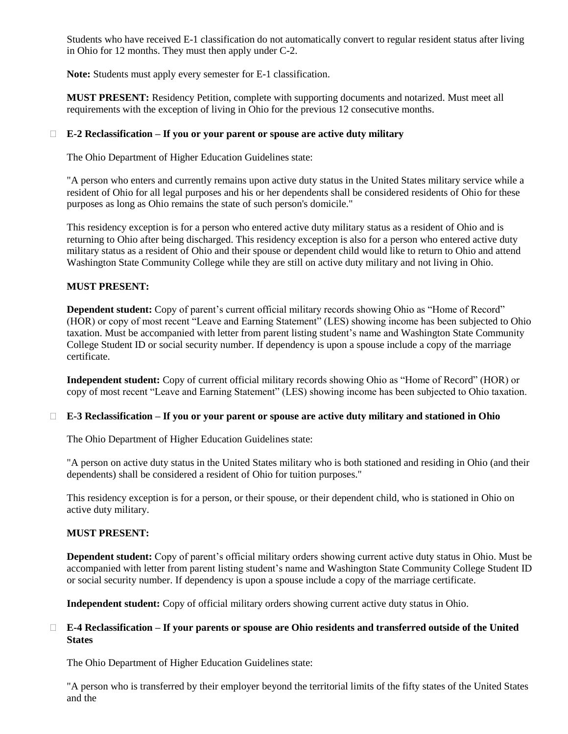Students who have received E-1 classification do not automatically convert to regular resident status after living in Ohio for 12 months. They must then apply under C-2.

**Note:** Students must apply every semester for E-1 classification.

**MUST PRESENT:** Residency Petition, complete with supporting documents and notarized. Must meet all requirements with the exception of living in Ohio for the previous 12 consecutive months.

#### **E-2 Reclassification – If you or your parent or spouse are active duty military**

The Ohio Department of Higher Education Guidelines state:

"A person who enters and currently remains upon active duty status in the United States military service while a resident of Ohio for all legal purposes and his or her dependents shall be considered residents of Ohio for these purposes as long as Ohio remains the state of such person's domicile."

This residency exception is for a person who entered active duty military status as a resident of Ohio and is returning to Ohio after being discharged. This residency exception is also for a person who entered active duty military status as a resident of Ohio and their spouse or dependent child would like to return to Ohio and attend Washington State Community College while they are still on active duty military and not living in Ohio.

#### **MUST PRESENT:**

**Dependent student:** Copy of parent's current official military records showing Ohio as "Home of Record" (HOR) or copy of most recent "Leave and Earning Statement" (LES) showing income has been subjected to Ohio taxation. Must be accompanied with letter from parent listing student's name and Washington State Community College Student ID or social security number. If dependency is upon a spouse include a copy of the marriage certificate.

**Independent student:** Copy of current official military records showing Ohio as "Home of Record" (HOR) or copy of most recent "Leave and Earning Statement" (LES) showing income has been subjected to Ohio taxation.

#### **E-3 Reclassification – If you or your parent or spouse are active duty military and stationed in Ohio**

The Ohio Department of Higher Education Guidelines state:

"A person on active duty status in the United States military who is both stationed and residing in Ohio (and their dependents) shall be considered a resident of Ohio for tuition purposes."

This residency exception is for a person, or their spouse, or their dependent child, who is stationed in Ohio on active duty military.

#### **MUST PRESENT:**

**Dependent student:** Copy of parent's official military orders showing current active duty status in Ohio. Must be accompanied with letter from parent listing student's name and Washington State Community College Student ID or social security number. If dependency is upon a spouse include a copy of the marriage certificate.

**Independent student:** Copy of official military orders showing current active duty status in Ohio.

#### **E-4 Reclassification – If your parents or spouse are Ohio residents and transferred outside of the United States**

The Ohio Department of Higher Education Guidelines state:

"A person who is transferred by their employer beyond the territorial limits of the fifty states of the United States and the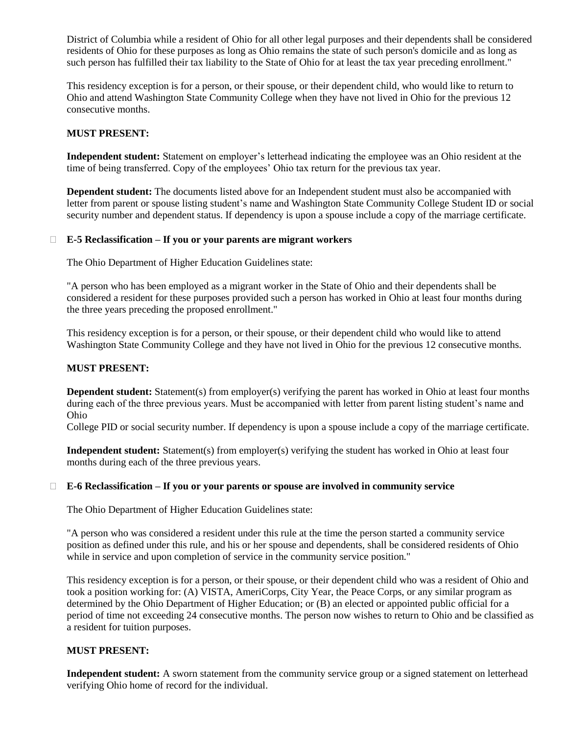District of Columbia while a resident of Ohio for all other legal purposes and their dependents shall be considered residents of Ohio for these purposes as long as Ohio remains the state of such person's domicile and as long as such person has fulfilled their tax liability to the State of Ohio for at least the tax year preceding enrollment."

This residency exception is for a person, or their spouse, or their dependent child, who would like to return to Ohio and attend Washington State Community College when they have not lived in Ohio for the previous 12 consecutive months.

### **MUST PRESENT:**

**Independent student:** Statement on employer's letterhead indicating the employee was an Ohio resident at the time of being transferred. Copy of the employees' Ohio tax return for the previous tax year.

**Dependent student:** The documents listed above for an Independent student must also be accompanied with letter from parent or spouse listing student's name and Washington State Community College Student ID or social security number and dependent status. If dependency is upon a spouse include a copy of the marriage certificate.

#### **E-5 Reclassification – If you or your parents are migrant workers**

The Ohio Department of Higher Education Guidelines state:

"A person who has been employed as a migrant worker in the State of Ohio and their dependents shall be considered a resident for these purposes provided such a person has worked in Ohio at least four months during the three years preceding the proposed enrollment."

This residency exception is for a person, or their spouse, or their dependent child who would like to attend Washington State Community College and they have not lived in Ohio for the previous 12 consecutive months.

#### **MUST PRESENT:**

**Dependent student:** Statement(s) from employer(s) verifying the parent has worked in Ohio at least four months during each of the three previous years. Must be accompanied with letter from parent listing student's name and Ohio

College PID or social security number. If dependency is upon a spouse include a copy of the marriage certificate.

**Independent student:** Statement(s) from employer(s) verifying the student has worked in Ohio at least four months during each of the three previous years.

#### **E-6 Reclassification – If you or your parents or spouse are involved in community service**

The Ohio Department of Higher Education Guidelines state:

"A person who was considered a resident under this rule at the time the person started a community service position as defined under this rule, and his or her spouse and dependents, shall be considered residents of Ohio while in service and upon completion of service in the community service position."

This residency exception is for a person, or their spouse, or their dependent child who was a resident of Ohio and took a position working for: (A) VISTA, AmeriCorps, City Year, the Peace Corps, or any similar program as determined by the Ohio Department of Higher Education; or (B) an elected or appointed public official for a period of time not exceeding 24 consecutive months. The person now wishes to return to Ohio and be classified as a resident for tuition purposes.

#### **MUST PRESENT:**

**Independent student:** A sworn statement from the community service group or a signed statement on letterhead verifying Ohio home of record for the individual.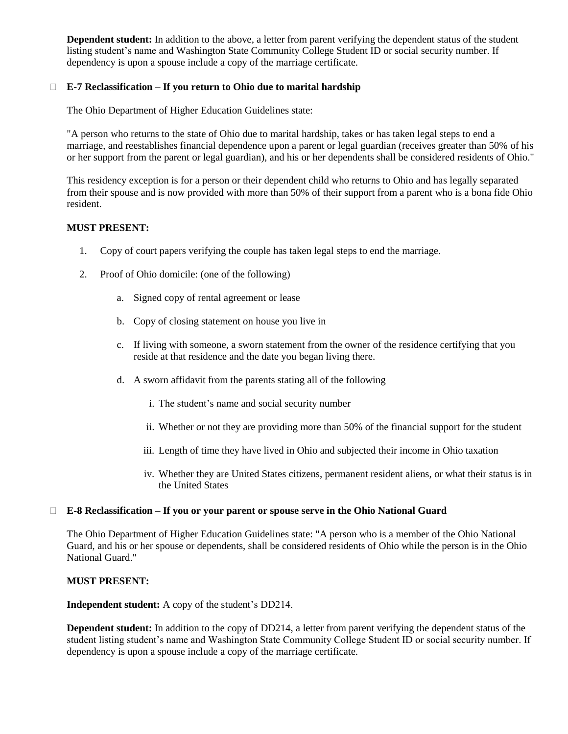**Dependent student:** In addition to the above, a letter from parent verifying the dependent status of the student listing student's name and Washington State Community College Student ID or social security number. If dependency is upon a spouse include a copy of the marriage certificate.

## **E-7 Reclassification – If you return to Ohio due to marital hardship**

The Ohio Department of Higher Education Guidelines state:

"A person who returns to the state of Ohio due to marital hardship, takes or has taken legal steps to end a marriage, and reestablishes financial dependence upon a parent or legal guardian (receives greater than 50% of his or her support from the parent or legal guardian), and his or her dependents shall be considered residents of Ohio."

This residency exception is for a person or their dependent child who returns to Ohio and has legally separated from their spouse and is now provided with more than 50% of their support from a parent who is a bona fide Ohio resident.

#### **MUST PRESENT:**

- 1. Copy of court papers verifying the couple has taken legal steps to end the marriage.
- 2. Proof of Ohio domicile: (one of the following)
	- a. Signed copy of rental agreement or lease
	- b. Copy of closing statement on house you live in
	- c. If living with someone, a sworn statement from the owner of the residence certifying that you reside at that residence and the date you began living there.
	- d. A sworn affidavit from the parents stating all of the following
		- i. The student's name and social security number
		- ii. Whether or not they are providing more than 50% of the financial support for the student
		- iii. Length of time they have lived in Ohio and subjected their income in Ohio taxation
		- iv. Whether they are United States citizens, permanent resident aliens, or what their status is in the United States

#### **E-8 Reclassification – If you or your parent or spouse serve in the Ohio National Guard**

The Ohio Department of Higher Education Guidelines state: "A person who is a member of the Ohio National Guard, and his or her spouse or dependents, shall be considered residents of Ohio while the person is in the Ohio National Guard."

#### **MUST PRESENT:**

**Independent student:** A copy of the student's DD214.

**Dependent student:** In addition to the copy of DD214, a letter from parent verifying the dependent status of the student listing student's name and Washington State Community College Student ID or social security number. If dependency is upon a spouse include a copy of the marriage certificate.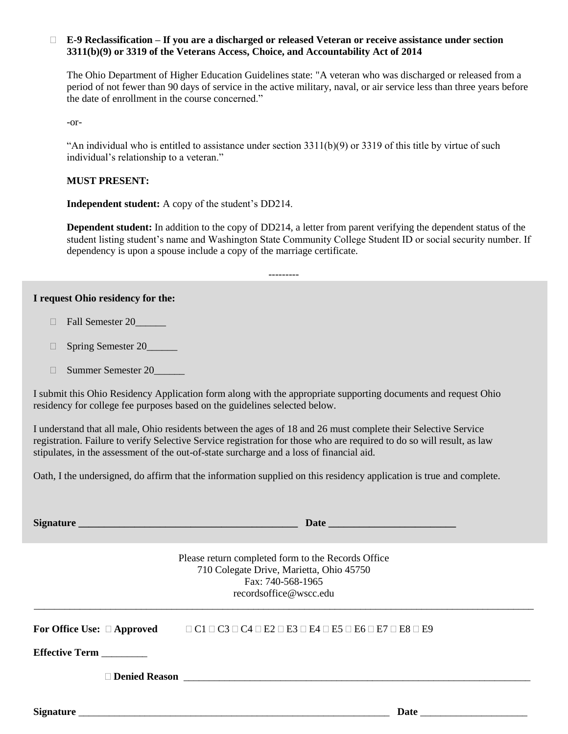### **E-9 Reclassification – If you are a discharged or released Veteran or receive assistance under section 3311(b)(9) or 3319 of the Veterans Access, Choice, and Accountability Act of 2014**

The Ohio Department of Higher Education Guidelines state: "A veteran who was discharged or released from a period of not fewer than 90 days of service in the active military, naval, or air service less than three years before the date of enrollment in the course concerned."

-or-

"An individual who is entitled to assistance under section  $3311(b)(9)$  or  $3319$  of this title by virtue of such individual's relationship to a veteran."

### **MUST PRESENT:**

**Independent student:** A copy of the student's DD214.

**Dependent student:** In addition to the copy of DD214, a letter from parent verifying the dependent status of the student listing student's name and Washington State Community College Student ID or social security number. If dependency is upon a spouse include a copy of the marriage certificate.

---------

#### **I request Ohio residency for the:**

- Fall Semester 20\_\_\_\_\_\_
- □ Spring Semester 20\_\_\_\_\_\_
- Summer Semester 20\_\_\_\_\_\_

I submit this Ohio Residency Application form along with the appropriate supporting documents and request Ohio residency for college fee purposes based on the guidelines selected below.

I understand that all male, Ohio residents between the ages of 18 and 26 must complete their Selective Service registration. Failure to verify Selective Service registration for those who are required to do so will result, as law stipulates, in the assessment of the out-of-state surcharge and a loss of financial aid.

Oath, I the undersigned, do affirm that the information supplied on this residency application is true and complete.

**Signature \_\_\_\_\_\_\_\_\_\_\_\_\_\_\_\_\_\_\_\_\_\_\_\_\_\_\_\_\_\_\_\_\_\_\_\_\_\_\_\_\_\_\_ Date \_\_\_\_\_\_\_\_\_\_\_\_\_\_\_\_\_\_\_\_\_\_\_\_\_**

Please return completed form to the Records Office 710 Colegate Drive, Marietta, Ohio 45750 Fax: 740-568-1965 recordsoffice@wscc.edu \_\_\_\_\_\_\_\_\_\_\_\_\_\_\_\_\_\_\_\_\_\_\_\_\_\_\_\_\_\_\_\_\_\_\_\_\_\_\_\_\_\_\_\_\_\_\_\_\_\_\_\_\_\_\_\_\_\_\_\_\_\_\_\_\_\_\_\_\_\_\_\_\_\_\_\_\_\_\_\_\_\_\_\_\_\_\_\_\_\_\_\_\_\_\_\_\_\_

**For Office Use: Approved** C1 C3 C4 E2 E3 E4 E5 E6 E7 E8 E9

**Effective Term** \_\_\_\_\_\_\_\_\_

**Denied Reason** \_\_\_\_\_\_\_\_\_\_\_\_\_\_\_\_\_\_\_\_\_\_\_\_\_\_\_\_\_\_\_\_\_\_\_\_\_\_\_\_\_\_\_\_\_\_\_\_\_\_\_\_\_\_\_\_\_\_\_\_\_\_\_\_\_\_\_\_

**Signature** \_\_\_\_\_\_\_\_\_\_\_\_\_\_\_\_\_\_\_\_\_\_\_\_\_\_\_\_\_\_\_\_\_\_\_\_\_\_\_\_\_\_\_\_\_\_\_\_\_\_\_\_\_\_\_\_\_\_\_\_\_ **Date** \_\_\_\_\_\_\_\_\_\_\_\_\_\_\_\_\_\_\_\_\_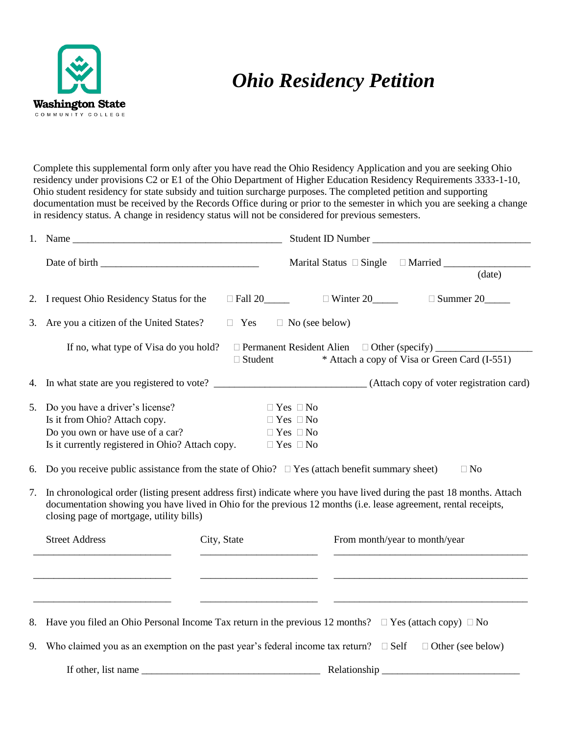

# *Ohio Residency Petition*

Complete this supplemental form only after you have read the Ohio Residency Application and you are seeking Ohio residency under provisions C2 or E1 of the Ohio Department of Higher Education Residency Requirements 3333-1-10, Ohio student residency for state subsidy and tuition surcharge purposes. The completed petition and supporting documentation must be received by the Records Office during or prior to the semester in which you are seeking a change in residency status. A change in residency status will not be considered for previous semesters.

|    |                                                                                                                                                          | Student ID Number                                                                                                                                                                                                                         |
|----|----------------------------------------------------------------------------------------------------------------------------------------------------------|-------------------------------------------------------------------------------------------------------------------------------------------------------------------------------------------------------------------------------------------|
|    |                                                                                                                                                          |                                                                                                                                                                                                                                           |
|    |                                                                                                                                                          | (data)                                                                                                                                                                                                                                    |
|    | 2. I request Ohio Residency Status for the                                                                                                               | $\Box$ Fall 20 $\Box$ Winter 20 $\Box$ Summer 20                                                                                                                                                                                          |
| 3. | Are you a citizen of the United States?                                                                                                                  | $\Box$ Yes<br>$\Box$ No (see below)                                                                                                                                                                                                       |
|    | If no, what type of Visa do you hold?                                                                                                                    | □ Permanent Resident Alien □ Other (specify) ___________<br>* Attach a copy of Visa or Green Card (I-551)<br>$\Box$ Student                                                                                                               |
|    |                                                                                                                                                          | 4. In what state are you registered to vote? ___________________________________(Attach copy of voter registration card)                                                                                                                  |
| 5. | Do you have a driver's license?<br>Is it from Ohio? Attach copy.<br>Do you own or have use of a car?<br>Is it currently registered in Ohio? Attach copy. | $\Box$ Yes $\Box$ No<br>$\Box$ Yes $\Box$ No<br>$\Box$ Yes $\Box$ No<br>$\Box$ Yes $\Box$ No                                                                                                                                              |
| 6. |                                                                                                                                                          | Do you receive public assistance from the state of Ohio? $\Box$ Yes (attach benefit summary sheet)<br>$\Box$ No                                                                                                                           |
| 7. | closing page of mortgage, utility bills)                                                                                                                 | In chronological order (listing present address first) indicate where you have lived during the past 18 months. Attach<br>documentation showing you have lived in Ohio for the previous 12 months (i.e. lease agreement, rental receipts, |
|    | <b>Street Address</b>                                                                                                                                    | City, State<br>From month/year to month/year                                                                                                                                                                                              |
|    |                                                                                                                                                          | 8. Have you filed an Ohio Personal Income Tax return in the previous 12 months? $\Box$ Yes (attach copy) $\Box$ No                                                                                                                        |
| 9. |                                                                                                                                                          | Who claimed you as an exemption on the past year's federal income tax return? $\Box$ Self<br>$\Box$ Other (see below)                                                                                                                     |
|    |                                                                                                                                                          | If other, list name Relationship Relationship                                                                                                                                                                                             |